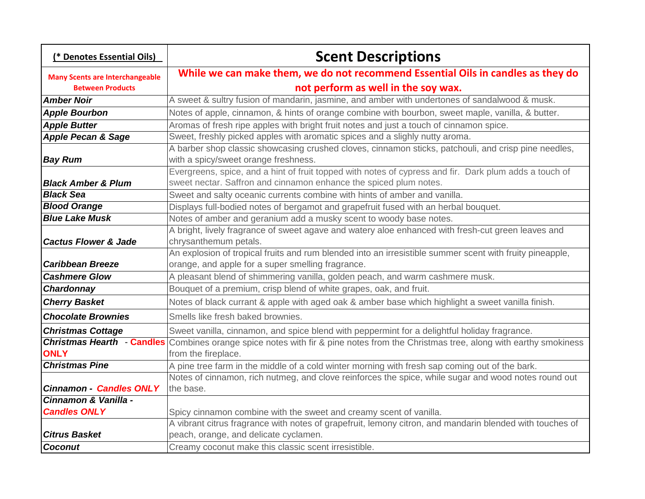| (* Denotes Essential Oils)             | <b>Scent Descriptions</b>                                                                                                                       |
|----------------------------------------|-------------------------------------------------------------------------------------------------------------------------------------------------|
| <b>Many Scents are Interchangeable</b> | While we can make them, we do not recommend Essential Oils in candles as they do                                                                |
| <b>Between Products</b>                | not perform as well in the soy wax.                                                                                                             |
| <b>Amber Noir</b>                      | A sweet & sultry fusion of mandarin, jasmine, and amber with undertones of sandalwood & musk.                                                   |
| <b>Apple Bourbon</b>                   | Notes of apple, cinnamon, & hints of orange combine with bourbon, sweet maple, vanilla, & butter.                                               |
| <b>Apple Butter</b>                    | Aromas of fresh ripe apples with bright fruit notes and just a touch of cinnamon spice.                                                         |
| <b>Apple Pecan &amp; Sage</b>          | Sweet, freshly picked apples with aromatic spices and a slighly nutty aroma.                                                                    |
|                                        | A barber shop classic showcasing crushed cloves, cinnamon sticks, patchouli, and crisp pine needles,                                            |
| <b>Bay Rum</b>                         | with a spicy/sweet orange freshness.                                                                                                            |
|                                        | Evergreens, spice, and a hint of fruit topped with notes of cypress and fir. Dark plum adds a touch of                                          |
| <b>Black Amber &amp; Plum</b>          | sweet nectar. Saffron and cinnamon enhance the spiced plum notes.                                                                               |
| <b>Black Sea</b>                       | Sweet and salty oceanic currents combine with hints of amber and vanilla.                                                                       |
| <b>Blood Orange</b>                    | Displays full-bodied notes of bergamot and grapefruit fused with an herbal bouquet.                                                             |
| <b>Blue Lake Musk</b>                  | Notes of amber and geranium add a musky scent to woody base notes.                                                                              |
|                                        | A bright, lively fragrance of sweet agave and watery aloe enhanced with fresh-cut green leaves and                                              |
| <b>Cactus Flower &amp; Jade</b>        | chrysanthemum petals.                                                                                                                           |
|                                        | An explosion of tropical fruits and rum blended into an irresistible summer scent with fruity pineapple,                                        |
| <b>Caribbean Breeze</b>                | orange, and apple for a super smelling fragrance.                                                                                               |
| <b>Cashmere Glow</b>                   | A pleasant blend of shimmering vanilla, golden peach, and warm cashmere musk.                                                                   |
| Chardonnay                             | Bouquet of a premium, crisp blend of white grapes, oak, and fruit.                                                                              |
| <b>Cherry Basket</b>                   | Notes of black currant & apple with aged oak & amber base which highlight a sweet vanilla finish.                                               |
| <b>Chocolate Brownies</b>              | Smells like fresh baked brownies.                                                                                                               |
| <b>Christmas Cottage</b>               | Sweet vanilla, cinnamon, and spice blend with peppermint for a delightful holiday fragrance.                                                    |
|                                        | <b>Christmas Hearth</b> - <b>Candles</b> Combines orange spice notes with fir & pine notes from the Christmas tree, along with earthy smokiness |
| <b>ONLY</b>                            | from the fireplace.                                                                                                                             |
| <b>Christmas Pine</b>                  | A pine tree farm in the middle of a cold winter morning with fresh sap coming out of the bark.                                                  |
|                                        | Notes of cinnamon, rich nutmeg, and clove reinforces the spice, while sugar and wood notes round out                                            |
| <b>Cinnamon - Candles ONLY</b>         | the base.                                                                                                                                       |
| Cinnamon & Vanilla -                   |                                                                                                                                                 |
| <b>Candles ONLY</b>                    | Spicy cinnamon combine with the sweet and creamy scent of vanilla.                                                                              |
|                                        | A vibrant citrus fragrance with notes of grapefruit, lemony citron, and mandarin blended with touches of                                        |
| <b>Citrus Basket</b>                   | peach, orange, and delicate cyclamen.                                                                                                           |
| <b>Coconut</b>                         | Creamy coconut make this classic scent irresistible.                                                                                            |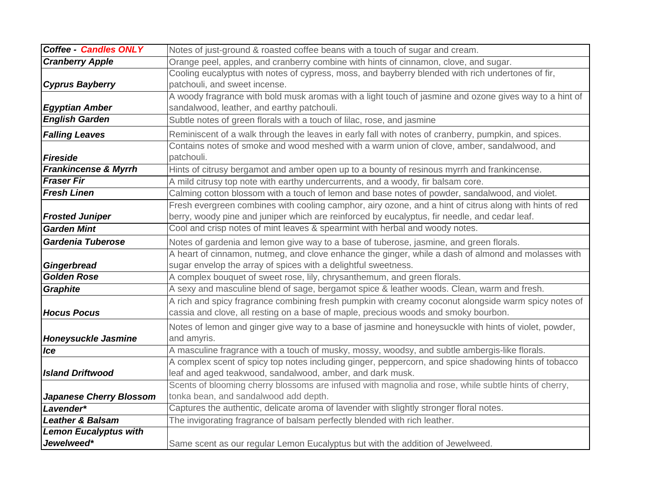| <b>Coffee - Candles ONLY</b>    | Notes of just-ground & roasted coffee beans with a touch of sugar and cream.                            |
|---------------------------------|---------------------------------------------------------------------------------------------------------|
| <b>Cranberry Apple</b>          | Orange peel, apples, and cranberry combine with hints of cinnamon, clove, and sugar.                    |
|                                 | Cooling eucalyptus with notes of cypress, moss, and bayberry blended with rich undertones of fir,       |
| <b>Cyprus Bayberry</b>          | patchouli, and sweet incense.                                                                           |
|                                 | A woody fragrance with bold musk aromas with a light touch of jasmine and ozone gives way to a hint of  |
| <b>Egyptian Amber</b>           | sandalwood, leather, and earthy patchouli.                                                              |
| <b>English Garden</b>           | Subtle notes of green florals with a touch of lilac, rose, and jasmine                                  |
| <b>Falling Leaves</b>           | Reminiscent of a walk through the leaves in early fall with notes of cranberry, pumpkin, and spices.    |
|                                 | Contains notes of smoke and wood meshed with a warm union of clove, amber, sandalwood, and              |
| <b>Fireside</b>                 | patchouli.                                                                                              |
| <b>Frankincense &amp; Myrrh</b> | Hints of citrusy bergamot and amber open up to a bounty of resinous myrrh and frankincense.             |
| <b>Fraser Fir</b>               | A mild citrusy top note with earthy undercurrents, and a woody, fir balsam core.                        |
| <b>Fresh Linen</b>              | Calming cotton blossom with a touch of lemon and base notes of powder, sandalwood, and violet.          |
|                                 | Fresh evergreen combines with cooling camphor, airy ozone, and a hint of citrus along with hints of red |
| <b>Frosted Juniper</b>          | berry, woody pine and juniper which are reinforced by eucalyptus, fir needle, and cedar leaf.           |
| <b>Garden Mint</b>              | Cool and crisp notes of mint leaves & spearmint with herbal and woody notes.                            |
| <b>Gardenia Tuberose</b>        | Notes of gardenia and lemon give way to a base of tuberose, jasmine, and green florals.                 |
|                                 | A heart of cinnamon, nutmeg, and clove enhance the ginger, while a dash of almond and molasses with     |
| <b>Gingerbread</b>              | sugar envelop the array of spices with a delightful sweetness.                                          |
| <b>Golden Rose</b>              | A complex bouquet of sweet rose, lily, chrysanthemum, and green florals.                                |
| <b>Graphite</b>                 | A sexy and masculine blend of sage, bergamot spice & leather woods. Clean, warm and fresh.              |
|                                 | A rich and spicy fragrance combining fresh pumpkin with creamy coconut alongside warm spicy notes of    |
| <b>Hocus Pocus</b>              | cassia and clove, all resting on a base of maple, precious woods and smoky bourbon.                     |
|                                 | Notes of lemon and ginger give way to a base of jasmine and honeysuckle with hints of violet, powder,   |
| <b>Honeysuckle Jasmine</b>      | and amyris.                                                                                             |
| <b>Ice</b>                      | A masculine fragrance with a touch of musky, mossy, woodsy, and subtle ambergis-like florals.           |
|                                 | A complex scent of spicy top notes including ginger, peppercorn, and spice shadowing hints of tobacco   |
| <b>Island Driftwood</b>         | leaf and aged teakwood, sandalwood, amber, and dark musk.                                               |
|                                 | Scents of blooming cherry blossoms are infused with magnolia and rose, while subtle hints of cherry,    |
| <b>Japanese Cherry Blossom</b>  | tonka bean, and sandalwood add depth.                                                                   |
| Lavender*                       | Captures the authentic, delicate aroma of lavender with slightly stronger floral notes.                 |
| <b>Leather &amp; Balsam</b>     | The invigorating fragrance of balsam perfectly blended with rich leather.                               |
| <b>Lemon Eucalyptus with</b>    |                                                                                                         |
| Jewelweed*                      | Same scent as our regular Lemon Eucalyptus but with the addition of Jewelweed.                          |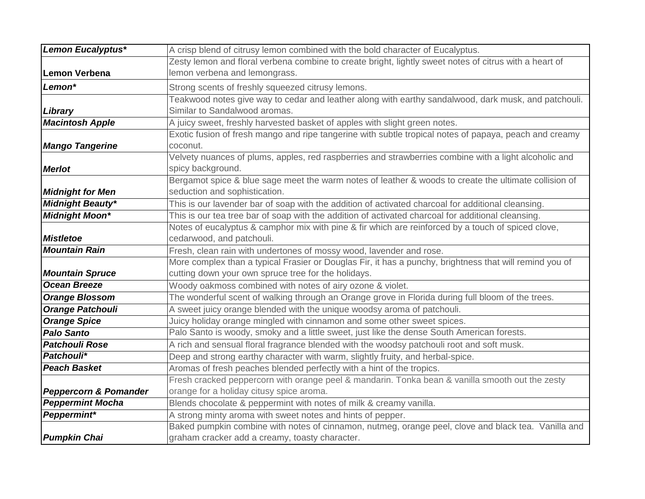| Lemon Eucalyptus*                | A crisp blend of citrusy lemon combined with the bold character of Eucalyptus.                          |
|----------------------------------|---------------------------------------------------------------------------------------------------------|
|                                  | Zesty lemon and floral verbena combine to create bright, lightly sweet notes of citrus with a heart of  |
| Lemon Verbena                    | lemon verbena and lemongrass.                                                                           |
| Lemon*                           | Strong scents of freshly squeezed citrusy lemons.                                                       |
|                                  | Teakwood notes give way to cedar and leather along with earthy sandalwood, dark musk, and patchouli.    |
| Library                          | Similar to Sandalwood aromas.                                                                           |
| <b>Macintosh Apple</b>           | A juicy sweet, freshly harvested basket of apples with slight green notes.                              |
|                                  | Exotic fusion of fresh mango and ripe tangerine with subtle tropical notes of papaya, peach and creamy  |
| <b>Mango Tangerine</b>           | coconut.                                                                                                |
|                                  | Velvety nuances of plums, apples, red raspberries and strawberries combine with a light alcoholic and   |
| <b>Merlot</b>                    | spicy background.                                                                                       |
|                                  | Bergamot spice & blue sage meet the warm notes of leather & woods to create the ultimate collision of   |
| <b>Midnight for Men</b>          | seduction and sophistication.                                                                           |
| <b>Midnight Beauty*</b>          | This is our lavender bar of soap with the addition of activated charcoal for additional cleansing.      |
| <b>Midnight Moon*</b>            | This is our tea tree bar of soap with the addition of activated charcoal for additional cleansing.      |
|                                  | Notes of eucalyptus & camphor mix with pine & fir which are reinforced by a touch of spiced clove,      |
| <b>Mistletoe</b>                 | cedarwood, and patchouli.                                                                               |
| <b>Mountain Rain</b>             | Fresh, clean rain with undertones of mossy wood, lavender and rose.                                     |
|                                  | More complex than a typical Frasier or Douglas Fir, it has a punchy, brightness that will remind you of |
| <b>Mountain Spruce</b>           | cutting down your own spruce tree for the holidays.                                                     |
| <b>Ocean Breeze</b>              | Woody oakmoss combined with notes of airy ozone & violet.                                               |
| <b>Orange Blossom</b>            | The wonderful scent of walking through an Orange grove in Florida during full bloom of the trees.       |
| <b>Orange Patchouli</b>          | A sweet juicy orange blended with the unique woodsy aroma of patchouli.                                 |
| <b>Orange Spice</b>              | Juicy holiday orange mingled with cinnamon and some other sweet spices.                                 |
| <b>Palo Santo</b>                | Palo Santo is woody, smoky and a little sweet, just like the dense South American forests.              |
| <b>Patchouli Rose</b>            | A rich and sensual floral fragrance blended with the woodsy patchouli root and soft musk.               |
| Patchouli*                       | Deep and strong earthy character with warm, slightly fruity, and herbal-spice.                          |
| <b>Peach Basket</b>              | Aromas of fresh peaches blended perfectly with a hint of the tropics.                                   |
|                                  | Fresh cracked peppercorn with orange peel & mandarin. Tonka bean & vanilla smooth out the zesty         |
| <b>Peppercorn &amp; Pomander</b> | orange for a holiday citusy spice aroma.                                                                |
| <b>Peppermint Mocha</b>          | Blends chocolate & peppermint with notes of milk & creamy vanilla.                                      |
| Peppermint*                      | A strong minty aroma with sweet notes and hints of pepper.                                              |
|                                  | Baked pumpkin combine with notes of cinnamon, nutmeg, orange peel, clove and black tea. Vanilla and     |
| <b>Pumpkin Chai</b>              | graham cracker add a creamy, toasty character.                                                          |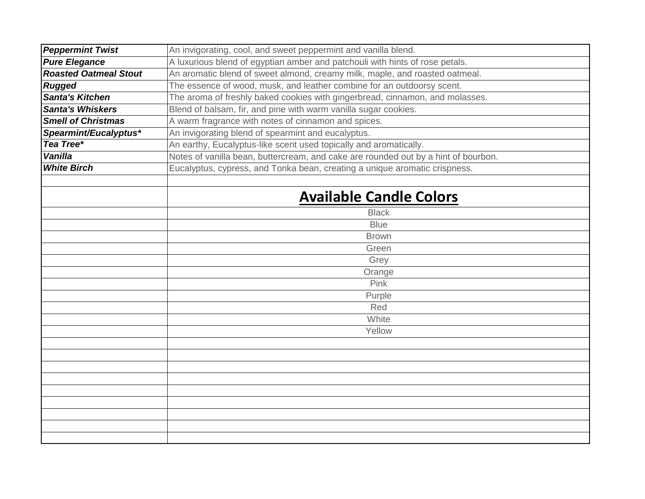| <b>Peppermint Twist</b>      | An invigorating, cool, and sweet peppermint and vanilla blend.                     |
|------------------------------|------------------------------------------------------------------------------------|
| <b>Pure Elegance</b>         | A luxurious blend of egyptian amber and patchouli with hints of rose petals.       |
| <b>Roasted Oatmeal Stout</b> | An aromatic blend of sweet almond, creamy milk, maple, and roasted oatmeal.        |
| <b>Rugged</b>                | The essence of wood, musk, and leather combine for an outdoorsy scent.             |
| <b>Santa's Kitchen</b>       | The aroma of freshly baked cookies with gingerbread, cinnamon, and molasses.       |
| <b>Santa's Whiskers</b>      | Blend of balsam, fir, and pine with warm vanilla sugar cookies.                    |
| <b>Smell of Christmas</b>    | A warm fragrance with notes of cinnamon and spices.                                |
| Spearmint/Eucalyptus*        | An invigorating blend of spearmint and eucalyptus.                                 |
| Tea Tree*                    | An earthy, Eucalyptus-like scent used topically and aromatically.                  |
| Vanilla                      | Notes of vanilla bean, buttercream, and cake are rounded out by a hint of bourbon. |
| <b>White Birch</b>           | Eucalyptus, cypress, and Tonka bean, creating a unique aromatic crispness.         |
|                              | <b>Available Candle Colors</b>                                                     |
|                              | <b>Black</b>                                                                       |
|                              | <b>Blue</b>                                                                        |
|                              | <b>Brown</b>                                                                       |
|                              | Green                                                                              |
|                              | Grey                                                                               |
|                              | Orange                                                                             |
|                              | Pink                                                                               |
|                              | Purple                                                                             |
|                              | Red                                                                                |
|                              | White                                                                              |
|                              | Yellow                                                                             |
|                              |                                                                                    |
|                              |                                                                                    |
|                              |                                                                                    |
|                              |                                                                                    |
|                              |                                                                                    |
|                              |                                                                                    |
|                              |                                                                                    |
|                              |                                                                                    |
|                              |                                                                                    |